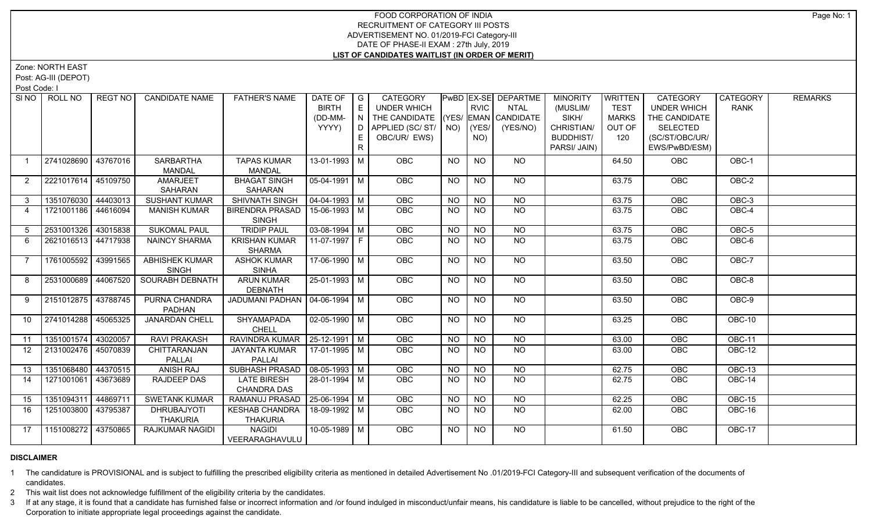# FOOD CORPORATION OF INDIA RECRUITMENT OF CATEGORY III POSTS ADVERTISEMENT NO. 01/2019-FCI Category-III DATE OF PHASE-II EXAM : 27th July, 2019 **LIST OF CANDIDATES WAITLIST (IN ORDER OF MERIT)**

Zone: NORTH EAST

Post: AG-III (DEPOT)

Post Code: I

| SINO I           | ROLL NO               | REGT NO  | <b>CANDIDATE NAME</b>  | <b>FATHER'S NAME</b>             | DATE OF                    | $\overline{\phantom{a}}$ G | CATEGORY                           |                 |                                          | <b>PWBD EX-SE DEPARTME</b> | <b>MINORITY</b>  | WRITTEN      | <b>CATEGORY</b>    | <b>CATEGORY</b> | <b>REMARKS</b> |
|------------------|-----------------------|----------|------------------------|----------------------------------|----------------------------|----------------------------|------------------------------------|-----------------|------------------------------------------|----------------------------|------------------|--------------|--------------------|-----------------|----------------|
|                  |                       |          |                        |                                  | <b>BIRTH</b>               | E                          | UNDER WHICH                        |                 | <b>RVIC</b>                              | NTAL                       | (MUSLIM/         | <b>TEST</b>  | <b>UNDER WHICH</b> | <b>RANK</b>     |                |
|                  |                       |          |                        |                                  | (DD-MM-                    | N                          | THE CANDIDATE (YES/ EMAN CANDIDATE |                 |                                          |                            | SIKH/            | <b>MARKS</b> | THE CANDIDATE      |                 |                |
|                  |                       |          |                        |                                  | YYYY)                      | D I                        | APPLIED (SC/ ST/   NO)             |                 | (YES/                                    | (YES/NO)                   | CHRISTIAN/       | OUT OF       | SELECTED           |                 |                |
|                  |                       |          |                        |                                  |                            |                            | OBC/UR/ EWS)                       |                 | NO)                                      |                            | <b>BUDDHIST/</b> | 120          | (SC/ST/OBC/UR/     |                 |                |
|                  |                       |          |                        |                                  |                            | R.                         |                                    |                 |                                          |                            | PARSI/ JAIN)     |              | EWS/PwBD/ESM)      |                 |                |
|                  | 2741028690 43767016   |          | <b>SARBARTHA</b>       | <b>TAPAS KUMAR</b>               | 13-01-1993 M               |                            | OBC                                | <b>NO</b>       | <b>NO</b>                                | NO.                        |                  | 64.50        | <b>OBC</b>         | OBC-1           |                |
|                  |                       |          | <b>MANDAL</b>          | <b>MANDAL</b>                    |                            |                            |                                    |                 |                                          |                            |                  |              |                    |                 |                |
| 2                | 2221017614 45109750   |          | AMARJEET               | <b>BHAGAT SINGH</b>              | 05-04-1991   M             |                            | <b>OBC</b>                         | <b>NO</b>       | NO                                       | NO.                        |                  | 63.75        | <b>OBC</b>         | OBC-2           |                |
|                  |                       |          | SAHARAN                | SAHARAN                          |                            |                            |                                    |                 |                                          |                            |                  |              |                    |                 |                |
| 3                | 1351076030 44403013   |          | <b>SUSHANT KUMAR</b>   | <b>SHIVNATH SINGH</b>            | $\mid$ 04-04-1993 $\mid$ M |                            | <b>OBC</b>                         | <b>NO</b>       | <b>NO</b>                                | NO                         |                  | 63.75        | <b>OBC</b>         | OBC-3           |                |
| $\overline{4}$   | 1721001186 44616094   |          | <b>MANISH KUMAR</b>    | BIRENDRA PRASAD   15-06-1993   M |                            |                            | OBC                                | NO              | NO                                       | <b>NO</b>                  |                  | 63.75        | <b>OBC</b>         | $OBC-4$         |                |
|                  |                       |          |                        | <b>SINGH</b>                     |                            |                            |                                    |                 |                                          |                            |                  |              |                    |                 |                |
| 5 <sup>5</sup>   | 2531001326 43015838   |          | <b>SUKOMAL PAUL</b>    | <b>TRIDIP PAUL</b>               | $03-08-1994$ M             |                            | OBC                                | <b>NO</b>       | N <sub>O</sub>                           | N <sub>O</sub>             |                  | 63.75        | OBC                | $OBC-5$         |                |
| 6                | 2621016513 44717938   |          | <b>NAINCY SHARMA</b>   | <b>KRISHAN KUMAR</b>             | 11-07-1997   F             |                            | <b>OBC</b>                         | <b>NO</b>       | NO                                       | NO.                        |                  | 63.75        | <b>OBC</b>         | OBC-6           |                |
|                  |                       |          |                        | <b>SHARMA</b>                    |                            |                            |                                    |                 |                                          |                            |                  |              |                    |                 |                |
| $\overline{7}$   | 1761005592 43991565   |          | <b>ABHISHEK KUMAR</b>  | <b>ASHOK KUMAR</b>               | $17-06-1990$ M             |                            | <b>OBC</b>                         | <b>NO</b>       | <b>NO</b>                                | NO.                        |                  | 63.50        | <b>OBC</b>         | OBC-7           |                |
|                  |                       |          | <b>SINGH</b>           | <b>SINHA</b>                     |                            |                            |                                    |                 |                                          |                            |                  |              |                    |                 |                |
| 8                | 2531000689 44067520   |          | <b>SOURABH DEBNATH</b> | <b>ARUN KUMAR</b>                | 25-01-1993 M               |                            | <b>OBC</b>                         | <b>NO</b>       | NO                                       | NO                         |                  | 63.50        | <b>OBC</b>         | OBC-8           |                |
|                  |                       |          |                        | <b>DEBNATH</b>                   |                            |                            |                                    |                 |                                          |                            |                  |              |                    |                 |                |
| 9                | 2151012875 43788745   |          | PURNA CHANDRA          | JADUMANI PADHAN   04-06-1994   M |                            |                            | OBC                                | <b>NO</b>       | <b>NO</b>                                | <b>NO</b>                  |                  | 63.50        | OBC                | OBC-9           |                |
|                  |                       |          | <b>PADHAN</b>          |                                  |                            |                            |                                    |                 |                                          |                            |                  |              |                    |                 |                |
| 10 <sup>°</sup>  | 2741014288 45065325   |          | <b>JANARDAN CHELL</b>  | <b>SHYAMAPADA</b>                | 02-05-1990   M             |                            | OBC                                | <b>NO</b>       | <b>NO</b>                                | NO                         |                  | 63.25        | <b>OBC</b>         | OBC-10          |                |
|                  |                       |          |                        | <b>CHELL</b>                     |                            |                            |                                    |                 |                                          |                            |                  |              |                    |                 |                |
| 11               | 1351001574 43020057   |          | <b>RAVI PRAKASH</b>    | RAVINDRA KUMAR   25-12-1991   M  |                            |                            | OBC                                | $\overline{NO}$ | N <sub>O</sub>                           | N <sub>O</sub>             |                  | 63.00        | OBC                | <b>OBC-11</b>   |                |
| 12 <sup>12</sup> | 2131002476   45070839 |          | CHITTARANJAN           | JAYANTA KUMAR   17-01-1995   M   |                            |                            | <b>OBC</b>                         | <b>NO</b>       | NO.                                      | <b>NO</b>                  |                  | 63.00        | <b>OBC</b>         | OBC-12          |                |
|                  |                       |          | PALLAI                 | PALLAI                           |                            |                            |                                    |                 |                                          |                            |                  |              |                    |                 |                |
| 13               | 1351068480 44370515   |          | <b>ANISH RAJ</b>       | SUBHASH PRASAD   08-05-1993   M  |                            |                            | OBC                                | <b>NO</b>       | $N$ <sup><math>\overline{O}</math></sup> | $N$ <sup>O</sup>           |                  | 62.75        | OBC                | <b>OBC-13</b>   |                |
| 14               | 1271001061            | 43673689 | RAJDEEP DAS            | <b>LATE BIRESH</b>               | 28-01-1994 M               |                            | OBC                                | <b>NO</b>       | NO                                       | NO.                        |                  | 62.75        | <b>OBC</b>         | OBC-14          |                |
|                  |                       |          |                        | <b>CHANDRA DAS</b>               |                            |                            |                                    |                 |                                          |                            |                  |              |                    |                 |                |
| 15               | 1351094311 44869711   |          | <b>SWETANK KUMAR</b>   | RAMANUJ PRASAD   25-06-1994   M  |                            |                            | <b>OBC</b>                         | <b>NO</b>       | <b>NO</b>                                | <b>NO</b>                  |                  | 62.25        | OBC                | <b>OBC-15</b>   |                |
| 16               | 1251003800 43795387   |          | <b>DHRUBAJYOTI</b>     | KESHAB CHANDRA   18-09-1992   M  |                            |                            | <b>OBC</b>                         | <b>NO</b>       | NO.                                      | <b>NO</b>                  |                  | 62.00        | <b>OBC</b>         | OBC-16          |                |
|                  |                       |          | THAKURIA               | <b>THAKURIA</b>                  |                            |                            |                                    |                 |                                          |                            |                  |              |                    |                 |                |
| 17               | 1151008272 43750865   |          | RAJKUMAR NAGIDI        | <b>NAGIDI</b>                    | 10-05-1989 M               |                            | OBC                                | <b>NO</b>       | NO                                       | NO.                        |                  | 61.50        | <b>OBC</b>         | <b>OBC-17</b>   |                |
|                  |                       |          |                        | VEERARAGHAVULU                   |                            |                            |                                    |                 |                                          |                            |                  |              |                    |                 |                |

#### **DISCLAIMER**

1 The candidature is PROVISIONAL and is subject to fulfilling the prescribed eligibility criteria as mentioned in detailed Advertisement No .01/2019-FCI Category-III and subsequent verification of the documents of candidates.

2 This wait list does not acknowledge fulfillment of the eligibility criteria by the candidates.

3 If at any stage, it is found that a candidate has furnished false or incorrect information and /or found indulged in misconduct/unfair means, his candidature is liable to be cancelled, without prejudice to the right of t Corporation to initiate appropriate legal proceedings against the candidate.

Page No: 1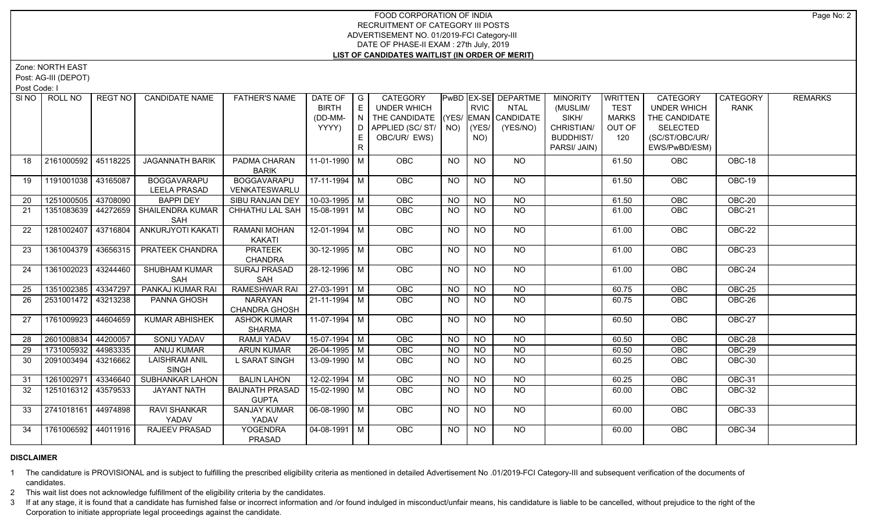# FOOD CORPORATION OF INDIA RECRUITMENT OF CATEGORY III POSTS ADVERTISEMENT NO. 01/2019-FCI Category-III DATE OF PHASE-II EXAM : 27th July, 2019 **LIST OF CANDIDATES WAITLIST (IN ORDER OF MERIT)**

Zone: NORTH EAST

Post: AG-III (DEPOT)

Post Code: I

| SI <sub>NO</sub> | ROLL NO               | REGT NO  | <b>CANDIDATE NAME</b>                     | <b>FATHER'S NAME</b>                   | DATE OF $ G $<br><b>BIRTH</b><br>(DD-MM-<br>YYYY) | E<br>$(N)^T$ | CATEGORY<br>UNDER WHICH<br>THE CANDIDATE (YES/ EMAN CANDIDATE<br>D   APPLIED (SC/ ST/   NO)<br>OBC/UR/ EWS) |           | <b>RVIC</b><br>(YES/<br>NO) | PwBD EX-SE DEPARTME<br>NTAL<br>(YES/NO) | <b>MINORITY</b><br>(MUSLIM/<br>SIKH/<br>CHRISTIAN/<br><b>BUDDHIST/</b> | <b>WRITTEN</b><br><b>TEST</b><br><b>MARKS</b><br>OUT OF<br>120 | CATEGORY<br><b>UNDER WHICH</b><br>THE CANDIDATE<br><b>SELECTED</b><br>(SC/ST/OBC/UR/ | CATEGORY<br><b>RANK</b> | <b>REMARKS</b> |
|------------------|-----------------------|----------|-------------------------------------------|----------------------------------------|---------------------------------------------------|--------------|-------------------------------------------------------------------------------------------------------------|-----------|-----------------------------|-----------------------------------------|------------------------------------------------------------------------|----------------------------------------------------------------|--------------------------------------------------------------------------------------|-------------------------|----------------|
|                  |                       |          |                                           |                                        |                                                   | R.           |                                                                                                             |           |                             |                                         | PARSI/ JAIN)                                                           |                                                                | EWS/PwBD/ESM)                                                                        |                         |                |
| 18               | 2161000592 45118225   |          | <b>JAGANNATH BARIK</b>                    | PADMA CHARAN<br><b>BARIK</b>           | 11-01-1990   M                                    |              | OBC                                                                                                         | <b>NO</b> | <b>NO</b>                   | <b>NO</b>                               |                                                                        | 61.50                                                          | OBC                                                                                  | OBC-18                  |                |
| 19               | 1191001038 43165087   |          | <b>BOGGAVARAPU</b><br><b>LEELA PRASAD</b> | <b>BOGGAVARAPU</b><br>VENKATESWARLU    | $17-11-1994$ M                                    |              | OBC                                                                                                         | <b>NO</b> | <b>NO</b>                   | NO                                      |                                                                        | 61.50                                                          | <b>OBC</b>                                                                           | OBC-19                  |                |
| 20               | 1251000505            | 43708090 | <b>BAPPI DEY</b>                          | SIBU RANJAN DEY   10-03-1995   M       |                                                   |              | <b>OBC</b>                                                                                                  | <b>NO</b> | <b>NO</b>                   | <b>NO</b>                               |                                                                        | 61.50                                                          | OBC                                                                                  | OBC-20                  |                |
| 21               | 1351083639   44272659 |          | <b>SHAILENDRA KUMAR</b><br>SAH            | CHHATHU LAL SAH   15-08-1991   M       |                                                   |              | <b>OBC</b>                                                                                                  | NO.       | <b>NO</b>                   | <b>NO</b>                               |                                                                        | 61.00                                                          | <b>OBC</b>                                                                           | <b>OBC-21</b>           |                |
| 22               | 1281002407 43716804   |          | ANKURJYOTI KAKATI                         | RAMANI MOHAN<br><b>KAKATI</b>          | 12-01-1994   M                                    |              | OBC                                                                                                         | <b>NO</b> | <b>NO</b>                   | <b>NO</b>                               |                                                                        | 61.00                                                          | OBC                                                                                  | OBC-22                  |                |
| 23               | 1361004379 43656315   |          | PRATEEK CHANDRA                           | <b>PRATEEK</b><br><b>CHANDRA</b>       | $30-12-1995$ M                                    |              | OBC                                                                                                         | <b>NO</b> | $N$ O                       | NO                                      |                                                                        | 61.00                                                          | OBC                                                                                  | $OBC-23$                |                |
| 24               | 1361002023            | 43244460 | <b>SHUBHAM KUMAR</b><br>SAH               | <b>SURAJ PRASAD</b><br>SAH             | 28-12-1996 M                                      |              | <b>OBC</b>                                                                                                  | <b>NO</b> | <b>NO</b>                   | $N$ <sup>O</sup>                        |                                                                        | 61.00                                                          | OBC                                                                                  | <b>OBC-24</b>           |                |
| 25               | 1351002385 43347297   |          | PANKAJ KUMAR RAI                          | <b>RAMESHWAR RAI</b>                   | $ 27-03-1991 $ M                                  |              | OBC                                                                                                         | <b>NO</b> | <b>NO</b>                   | <b>NO</b>                               |                                                                        | 60.75                                                          | OBC                                                                                  | <b>OBC-25</b>           |                |
| 26               | 2531001472 43213238   |          | PANNA GHOSH                               | <b>NARAYAN</b><br><b>CHANDRA GHOSH</b> | $21 - 11 - 1994$ M                                |              | OBC                                                                                                         | <b>NO</b> | <b>NO</b>                   | <b>NO</b>                               |                                                                        | 60.75                                                          | OBC                                                                                  | OBC-26                  |                |
| 27               | 1761009923 44604659   |          | <b>KUMAR ABHISHEK</b>                     | <b>ASHOK KUMAR</b><br><b>SHARMA</b>    | $11-07-1994$ M                                    |              | OBC                                                                                                         | <b>NO</b> | <b>NO</b>                   | NO                                      |                                                                        | 60.50                                                          | OBC                                                                                  | <b>OBC-27</b>           |                |
| 28               | 2601008834            | 44200057 | <b>SONU YADAV</b>                         | RAMJI YADAV                            | $15-07-1994$ M                                    |              | OBC                                                                                                         | <b>NO</b> | <b>NO</b>                   | <b>NO</b>                               |                                                                        | 60.50                                                          | OBC                                                                                  | OBC-28                  |                |
| 29               | 1731005932 44983335   |          | <b>ANUJ KUMAR</b>                         | <b>ARUN KUMAR</b>                      | 26-04-1995 M                                      |              | <b>OBC</b>                                                                                                  | <b>NO</b> | <b>NO</b>                   | $\overline{NO}$                         |                                                                        | 60.50                                                          | OBC                                                                                  | <b>OBC-29</b>           |                |
| 30               | 2091003494 43216662   |          | <b>LAISHRAM ANIL</b><br><b>SINGH</b>      | L SARAT SINGH                          | $13-09-1990$ M                                    |              | <b>OBC</b>                                                                                                  | <b>NO</b> | <b>NO</b>                   | N <sub>O</sub>                          |                                                                        | 60.25                                                          | OBC                                                                                  | <b>OBC-30</b>           |                |
| 31               | 1261002971 43346640   |          | SUBHANKAR LAHON                           | <b>BALIN LAHON</b>                     | $12 - 02 - 1994$ M                                |              | OBC                                                                                                         | <b>NO</b> | <b>NO</b>                   | <b>NO</b>                               |                                                                        | 60.25                                                          | OBC                                                                                  | OBC-31                  |                |
| 32               | 1251016312 43579533   |          | <b>JAYANT NATH</b>                        | <b>BAIJNATH PRASAD</b><br><b>GUPTA</b> | 15-02-1990 M                                      |              | OBC                                                                                                         | <b>NO</b> | NO                          | NO.                                     |                                                                        | 60.00                                                          | <b>OBC</b>                                                                           | OBC-32                  |                |
| 33               | 2741018161 44974898   |          | <b>RAVI SHANKAR</b><br>YADAV              | <b>SANJAY KUMAR</b><br>YADAV           | $\sqrt{06-08-1990}$ M                             |              | <b>OBC</b>                                                                                                  | NO.       | NO.                         | NO.                                     |                                                                        | 60.00                                                          | <b>OBC</b>                                                                           | <b>OBC-33</b>           |                |
| 34               | 1761006592 44011916   |          | <b>RAJEEV PRASAD</b>                      | <b>YOGENDRA</b><br>PRASAD              | 04-08-1991 M                                      |              | OBC                                                                                                         | <b>NO</b> | <b>NO</b>                   | NO.                                     |                                                                        | 60.00                                                          | OBC                                                                                  | OBC-34                  |                |

# **DISCLAIMER**

1 The candidature is PROVISIONAL and is subject to fulfilling the prescribed eligibility criteria as mentioned in detailed Advertisement No .01/2019-FCI Category-III and subsequent verification of the documents of candidates.

2 This wait list does not acknowledge fulfillment of the eligibility criteria by the candidates.

3 If at any stage, it is found that a candidate has furnished false or incorrect information and /or found indulged in misconduct/unfair means, his candidature is liable to be cancelled, without prejudice to the right of t Corporation to initiate appropriate legal proceedings against the candidate.

Page No: 2